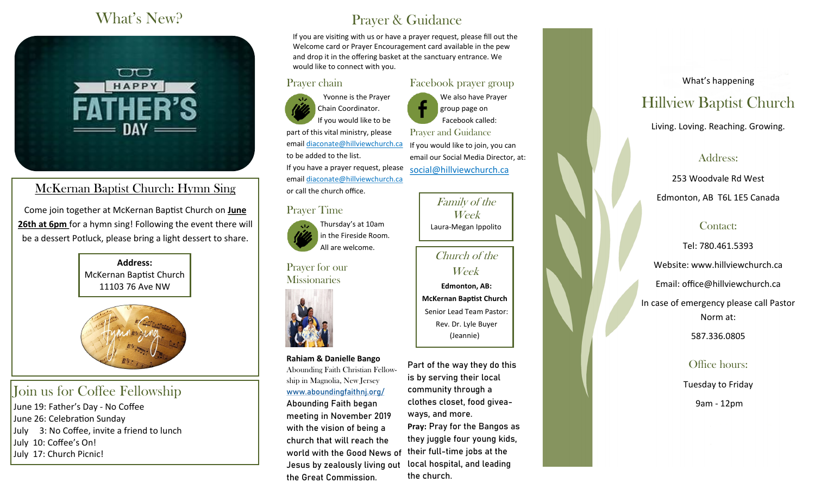### What's New?



### McKernan Baptist Church: Hymn Sing

Come join together at McKernan Baptist Church on **June 26th at 6pm** for a hymn sing! Following the event there will be a dessert Potluck, please bring a light dessert to share.

> **Address:** McKernan Baptist Church 11103 76 Ave NW



### Join us for Coffee Fellowship

June 19: Father's Day - No Coffee June 26: Celebration Sunday July 3: No Coffee, invite a friend to lunch July 10: Coffee's On! July 17: Church Picnic!

# Prayer & Guidance

If you are visiting with us or have a prayer request, please fill out the Welcome card or Prayer Encouragement card available in the pew and drop it in the offering basket at the sanctuary entrance. We would like to connect with you.

#### Prayer chain

Prayer Time

Prayer for our **Missionaries** 

**Rahiam & Danielle Bango** Abounding Faith Christian Fellowship in Magnolia, New Jersey [www.aboundingfaithnj.org/](http://www.aboundingfaithnj.org/) Abounding Faith began meeting in November 2019 with the vision of being a church that will reach the world with the Good News of Jesus by zealously living out

the Great Commission.

 Yvonne is the Prayer Chain Coordinator. If you would like to be part of this vital ministry, please email [diaconate@hillviewchurch.ca](mailto:diaconate@hillviewchurch.ca) to be added to the list. If you have a prayer request, please email [diaconate@hillviewchurch.ca](mailto:diaconate@hillviewchurch.ca) or call the church office.

> Thursday's at 10am in the Fireside Room. All are welcome.

Facebook prayer group We also have Prayer group page on Facebook called: Prayer and Guidance If you would like to join, you can email our Social Media Director, at:

social@hillviewchurch.ca

Family of the Week

Church of the Week

 **Edmonton, AB: McKernan Baptist Church** Senior Lead Team Pastor: Rev. Dr. Lyle Buyer (Jeannie)

Part of the way they do this is by serving their local community through a clothes closet, food giveaways, and more. **Pray:** Pray for the Bangos as they juggle four young kids, their full-time jobs at the local hospital, and leading the church.

What's happening

### Hillview Baptist Church

Living. Loving. Reaching. Growing.

#### Address:

253 Woodvale Rd West Edmonton, AB T6L 1E5 Canada

#### Contact:

Tel: 780.461.5393 Website: www.hillviewchurch.ca Email: office@hillviewchurch.ca In case of emergency please call Pastor Norm at: 587.336.0805

#### Office hours:

Tuesday to Friday

9am - 12pm

Laura-Megan Ippolito